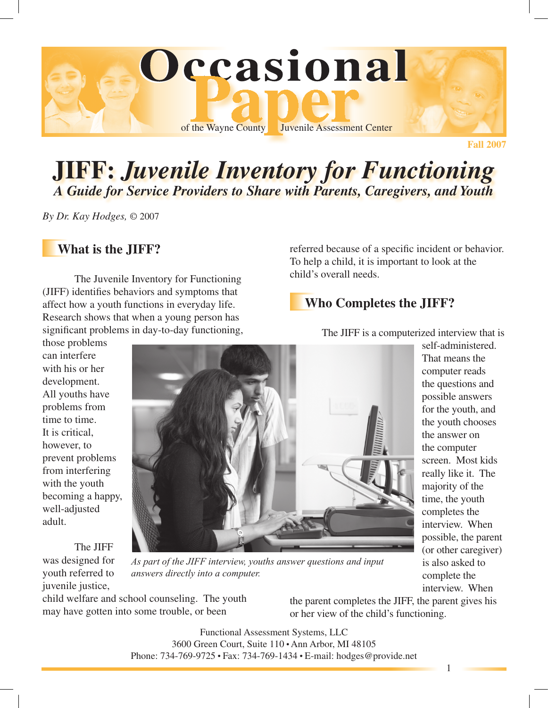

# **JIFF:** *Juvenile Inventory for Functioning A Guide for Service Providers to Share with Parents, Caregivers, and Youth*

*By Dr. Kay Hodges,* © 2007

### **What is the JIFF?**

The Juvenile Inventory for Functioning (JIFF) identifies behaviors and symptoms that affect how a youth functions in everyday life. Research shows that when a young person has significant problems in day-to-day functioning,

those problems can interfere with his or her development. All youths have problems from time to time. It is critical, however, to prevent problems from interfering with the youth becoming a happy, well-adjusted adult.



The JIFF was designed for youth referred to juvenile justice,

*As part of the JIFF interview, youths answer questions and input answers directly into a computer.*

child welfare and school counseling. The youth may have gotten into some trouble, or been

the parent completes the JIFF, the parent gives his or her view of the child's functioning.

Functional Assessment Systems, LLC 3600 Green Court, Suite  $110 \cdot$  Ann Arbor, MI 48105 Phone: 734-769-9725 • Fax: 734-769-1434 • E-mail: hodges@provide.net

referred because of a specific incident or behavior. To help a child, it is important to look at the child's overall needs.

### **Who Completes the JIFF?**

The JIFF is a computerized interview that is

self-administered. That means the computer reads the questions and possible answers for the youth, and the youth chooses the answer on the computer screen. Most kids really like it. The majority of the time, the youth completes the interview. When possible, the parent (or other caregiver) is also asked to complete the interview. When

1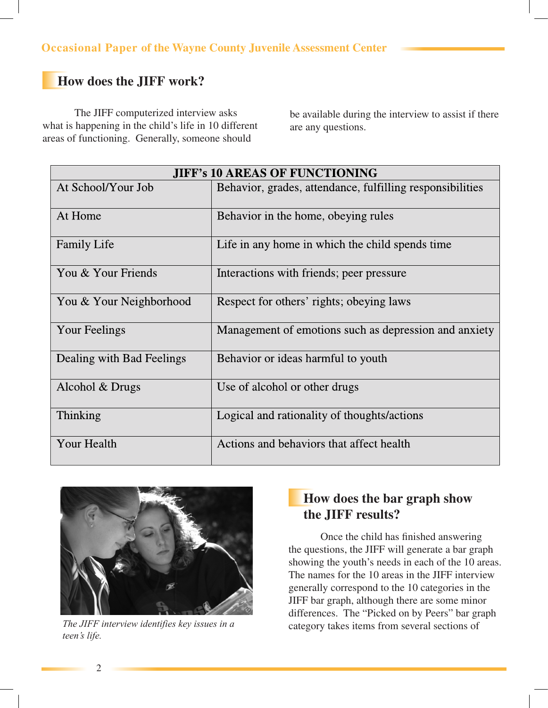### **How does the JIFF work?**

The JIFF computerized interview asks what is happening in the child's life in 10 different areas of functioning. Generally, someone should

be available during the interview to assist if there are any questions.

| <b>JIFF's 10 AREAS OF FUNCTIONING</b> |                                                           |  |
|---------------------------------------|-----------------------------------------------------------|--|
| At School/Your Job                    | Behavior, grades, attendance, fulfilling responsibilities |  |
| At Home                               | Behavior in the home, obeying rules                       |  |
| <b>Family Life</b>                    | Life in any home in which the child spends time           |  |
| You & Your Friends                    | Interactions with friends; peer pressure                  |  |
| You & Your Neighborhood               | Respect for others' rights; obeying laws                  |  |
| Your Feelings                         | Management of emotions such as depression and anxiety     |  |
| Dealing with Bad Feelings             | Behavior or ideas harmful to youth                        |  |
| Alcohol & Drugs                       | Use of alcohol or other drugs                             |  |
| Thinking                              | Logical and rationality of thoughts/actions               |  |
| Your Health                           | Actions and behaviors that affect health                  |  |



*The JIFF interview identifies key issues in a teen's life.*

## **How does the bar graph show the JIFF results?**

Once the child has finished answering the questions, the JIFF will generate a bar graph showing the youth's needs in each of the 10 areas. The names for the 10 areas in the JIFF interview generally correspond to the 10 categories in the JIFF bar graph, although there are some minor differences. The "Picked on by Peers" bar graph category takes items from several sections of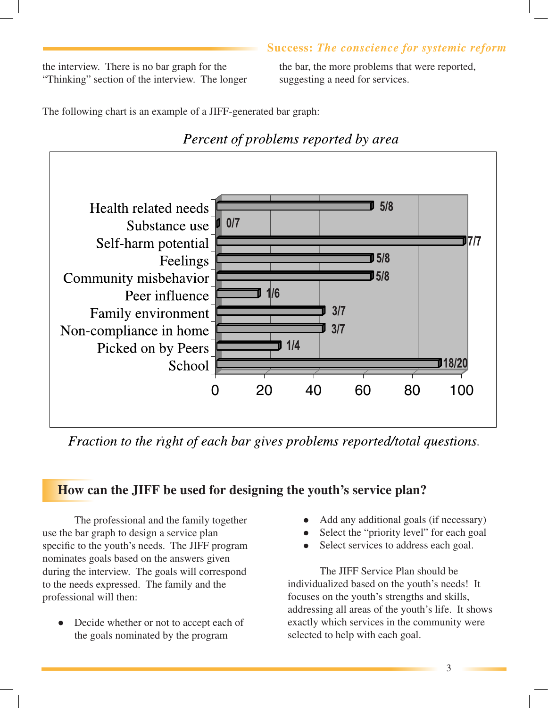#### **Success:** *The conscience for systemic reform*

the interview. There is no bar graph for the "Thinking" section of the interview. The longer the bar, the more problems that were reported, suggesting a need for services.

The following chart is an example of a JIFF-generated bar graph:



Fraction to the right of each bar gives problems reported/total questions.

# **How can the JIFF be used for designing the youth's service plan?**

The professional and the family together use the bar graph to design a service plan specific to the youth's needs. The JIFF program nominates goals based on the answers given during the interview. The goals will correspond to the needs expressed. The family and the professional will then:

Decide whether or not to accept each of the goals nominated by the program

- Add any additional goals (if necessary)
- Select the "priority level" for each goal
- Select services to address each goal.

The JIFF Service Plan should be individualized based on the youth's needs! It focuses on the youth's strengths and skills, addressing all areas of the youth's life. It shows exactly which services in the community were selected to help with each goal.

3